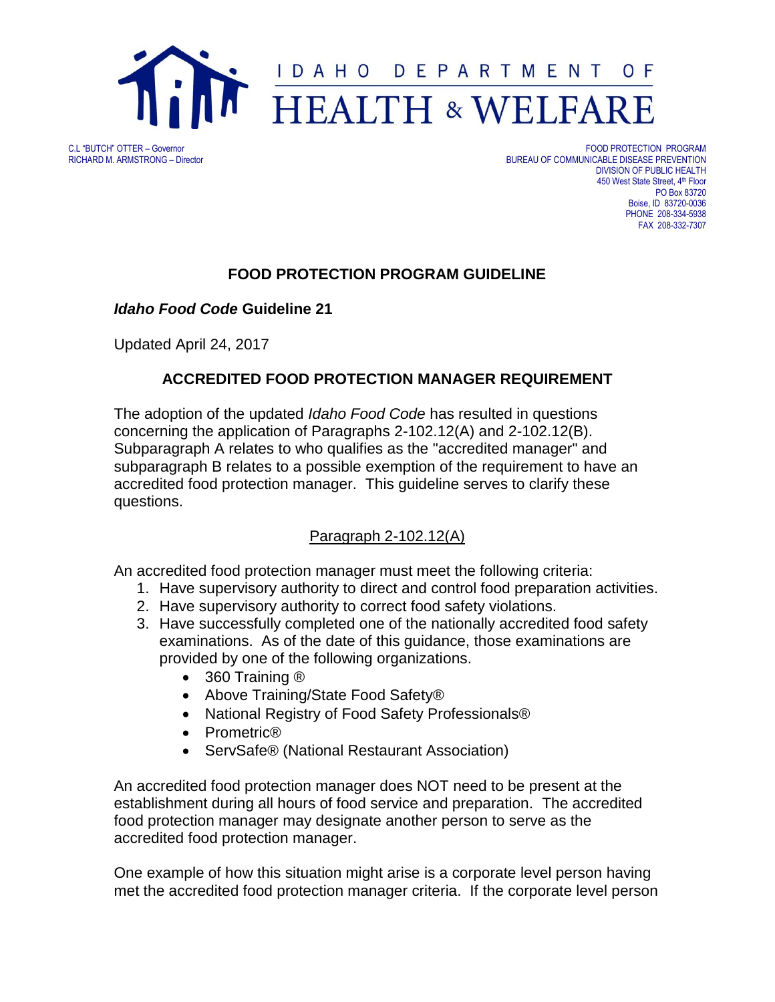

C.L "BUTCH" OTTER – Governor FOOD PROTECTION PROGRAM BUREAU OF COMMUNICABLE DISEASE PREVENTION DIVISION OF PUBLIC HEALTH 450 West State Street, 4<sup>th</sup> Floor PO Box 83720 Boise, ID 83720-0036 PHONE 208-334-5938 FAX 208-332-7307

## **FOOD PROTECTION PROGRAM GUIDELINE**

### *Idaho Food Code* **Guideline 21**

Updated April 24, 2017

## **ACCREDITED FOOD PROTECTION MANAGER REQUIREMENT**

The adoption of the updated *Idaho Food Code* has resulted in questions concerning the application of Paragraphs 2-102.12(A) and 2-102.12(B). Subparagraph A relates to who qualifies as the "accredited manager" and subparagraph B relates to a possible exemption of the requirement to have an accredited food protection manager. This guideline serves to clarify these questions.

## Paragraph 2-102.12(A)

An accredited food protection manager must meet the following criteria:

- 1. Have supervisory authority to direct and control food preparation activities.
- 2. Have supervisory authority to correct food safety violations.
- 3. Have successfully completed one of the nationally accredited food safety examinations. As of the date of this guidance, those examinations are provided by one of the following organizations.
	- 360 Training ®
	- Above Training/State Food Safety®
	- National Registry of Food Safety Professionals<sup>®</sup>
	- Prometric<sup>®</sup>
	- ServSafe® (National Restaurant Association)

An accredited food protection manager does NOT need to be present at the establishment during all hours of food service and preparation. The accredited food protection manager may designate another person to serve as the accredited food protection manager.

One example of how this situation might arise is a corporate level person having met the accredited food protection manager criteria. If the corporate level person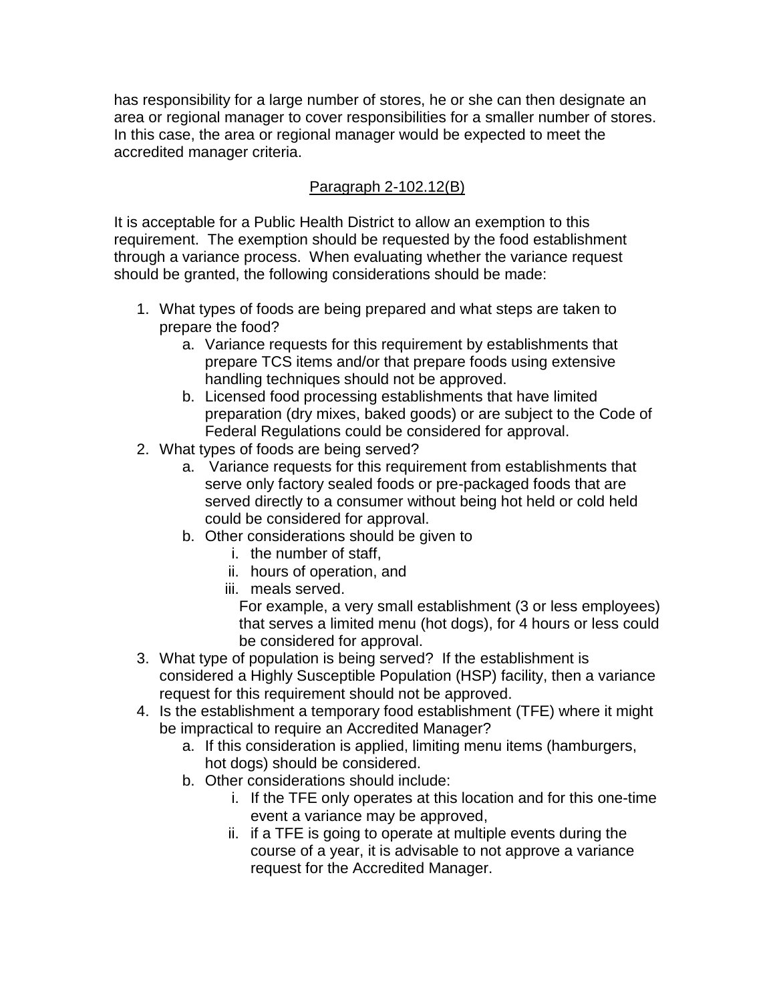has responsibility for a large number of stores, he or she can then designate an area or regional manager to cover responsibilities for a smaller number of stores. In this case, the area or regional manager would be expected to meet the accredited manager criteria.

# Paragraph 2-102.12(B)

It is acceptable for a Public Health District to allow an exemption to this requirement. The exemption should be requested by the food establishment through a variance process. When evaluating whether the variance request should be granted, the following considerations should be made:

- 1. What types of foods are being prepared and what steps are taken to prepare the food?
	- a. Variance requests for this requirement by establishments that prepare TCS items and/or that prepare foods using extensive handling techniques should not be approved.
	- b. Licensed food processing establishments that have limited preparation (dry mixes, baked goods) or are subject to the Code of Federal Regulations could be considered for approval.
- 2. What types of foods are being served?
	- a. Variance requests for this requirement from establishments that serve only factory sealed foods or pre-packaged foods that are served directly to a consumer without being hot held or cold held could be considered for approval.
	- b. Other considerations should be given to
		- i. the number of staff,
		- ii. hours of operation, and
		- iii. meals served.

For example, a very small establishment (3 or less employees) that serves a limited menu (hot dogs), for 4 hours or less could be considered for approval.

- 3. What type of population is being served? If the establishment is considered a Highly Susceptible Population (HSP) facility, then a variance request for this requirement should not be approved.
- 4. Is the establishment a temporary food establishment (TFE) where it might be impractical to require an Accredited Manager?
	- a. If this consideration is applied, limiting menu items (hamburgers, hot dogs) should be considered.
	- b. Other considerations should include:
		- i. If the TFE only operates at this location and for this one-time event a variance may be approved,
		- ii. if a TFE is going to operate at multiple events during the course of a year, it is advisable to not approve a variance request for the Accredited Manager.